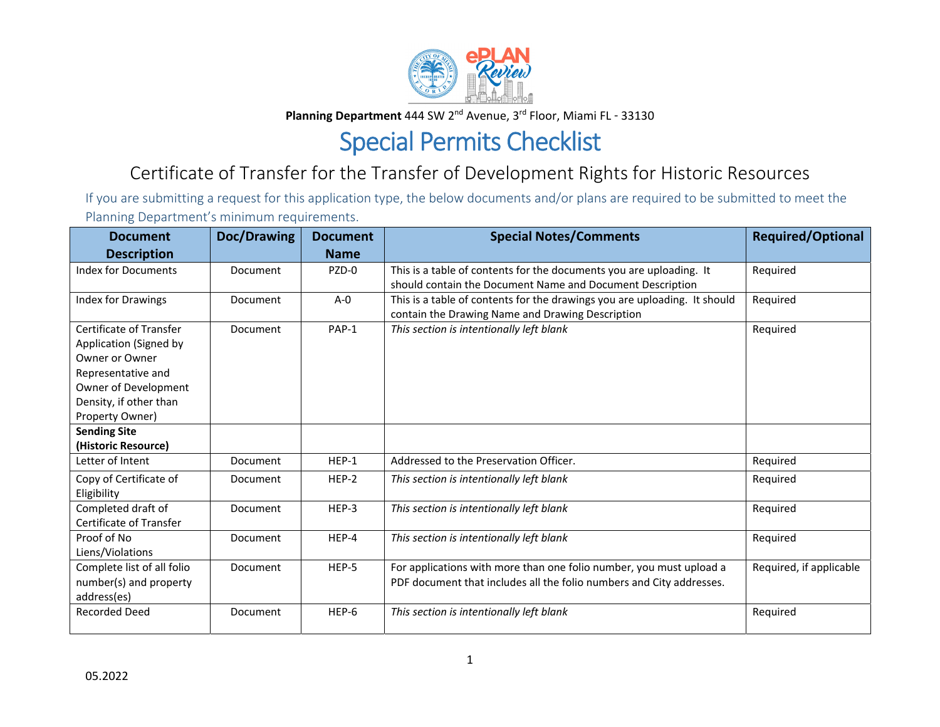

**Planning Department** 444 SW 2<sup>nd</sup> Avenue, 3<sup>rd</sup> Floor, Miami FL - 33130

## Special Permits Checklist

## Certificate of Transfer for the Transfer of Development Rights for Historic Resources

If you are submitting <sup>a</sup> request for this application type, the below documents and/or plans are required to be submitted to meet the Planning Department's minimum requirements.

| <b>Document</b>                                                                                                                                                | Doc/Drawing | <b>Document</b> | <b>Special Notes/Comments</b>                                                                                                               | <b>Required/Optional</b> |
|----------------------------------------------------------------------------------------------------------------------------------------------------------------|-------------|-----------------|---------------------------------------------------------------------------------------------------------------------------------------------|--------------------------|
| <b>Description</b>                                                                                                                                             |             | <b>Name</b>     |                                                                                                                                             |                          |
| Index for Documents                                                                                                                                            | Document    | PZD-0           | This is a table of contents for the documents you are uploading. It<br>should contain the Document Name and Document Description            | Required                 |
| <b>Index for Drawings</b>                                                                                                                                      | Document    | $A - 0$         | This is a table of contents for the drawings you are uploading. It should<br>contain the Drawing Name and Drawing Description               | Required                 |
| Certificate of Transfer<br>Application (Signed by<br>Owner or Owner<br>Representative and<br>Owner of Development<br>Density, if other than<br>Property Owner) | Document    | PAP-1           | This section is intentionally left blank                                                                                                    | Required                 |
| <b>Sending Site</b><br>(Historic Resource)                                                                                                                     |             |                 |                                                                                                                                             |                          |
| Letter of Intent                                                                                                                                               | Document    | HEP-1           | Addressed to the Preservation Officer.                                                                                                      | Required                 |
| Copy of Certificate of<br>Eligibility                                                                                                                          | Document    | HEP-2           | This section is intentionally left blank                                                                                                    | Required                 |
| Completed draft of<br>Certificate of Transfer                                                                                                                  | Document    | HEP-3           | This section is intentionally left blank                                                                                                    | Required                 |
| Proof of No<br>Liens/Violations                                                                                                                                | Document    | HEP-4           | This section is intentionally left blank                                                                                                    | Required                 |
| Complete list of all folio<br>number(s) and property<br>address(es)                                                                                            | Document    | HEP-5           | For applications with more than one folio number, you must upload a<br>PDF document that includes all the folio numbers and City addresses. | Required, if applicable  |
| <b>Recorded Deed</b>                                                                                                                                           | Document    | HEP-6           | This section is intentionally left blank                                                                                                    | Required                 |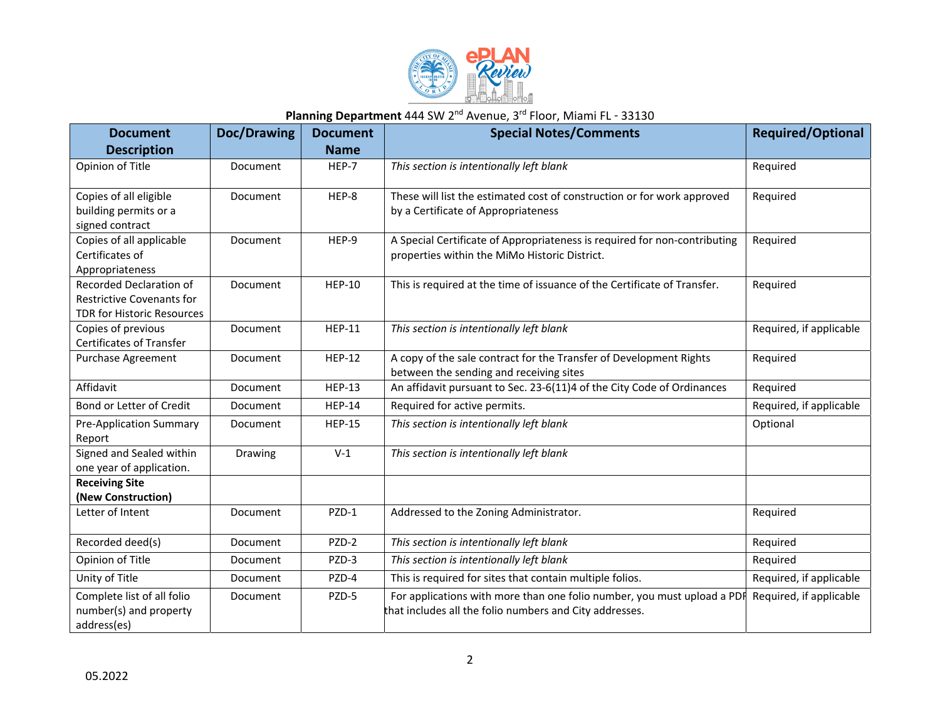

## Planning Department 444 SW 2<sup>nd</sup> Avenue, 3<sup>rd</sup> Floor, Miami FL - 33130

| <b>Document</b>                                                                                  | <b>Doc/Drawing</b> | <b>Document</b> | <b>Special Notes/Comments</b>                                                                                                      | <b>Required/Optional</b> |
|--------------------------------------------------------------------------------------------------|--------------------|-----------------|------------------------------------------------------------------------------------------------------------------------------------|--------------------------|
| <b>Description</b>                                                                               |                    | <b>Name</b>     |                                                                                                                                    |                          |
| Opinion of Title                                                                                 | Document           | HEP-7           | This section is intentionally left blank                                                                                           | Required                 |
| Copies of all eligible<br>building permits or a<br>signed contract                               | Document           | HEP-8           | These will list the estimated cost of construction or for work approved<br>by a Certificate of Appropriateness                     | Required                 |
| Copies of all applicable<br>Certificates of<br>Appropriateness                                   | Document           | HEP-9           | A Special Certificate of Appropriateness is required for non-contributing<br>properties within the MiMo Historic District.         | Required                 |
| Recorded Declaration of<br><b>Restrictive Covenants for</b><br><b>TDR for Historic Resources</b> | Document           | <b>HEP-10</b>   | This is required at the time of issuance of the Certificate of Transfer.                                                           | Required                 |
| Copies of previous<br><b>Certificates of Transfer</b>                                            | Document           | <b>HEP-11</b>   | This section is intentionally left blank                                                                                           | Required, if applicable  |
| <b>Purchase Agreement</b>                                                                        | Document           | <b>HEP-12</b>   | A copy of the sale contract for the Transfer of Development Rights<br>between the sending and receiving sites                      | Required                 |
| Affidavit                                                                                        | <b>Document</b>    | <b>HEP-13</b>   | An affidavit pursuant to Sec. 23-6(11)4 of the City Code of Ordinances                                                             | Required                 |
| Bond or Letter of Credit                                                                         | Document           | <b>HEP-14</b>   | Required for active permits.                                                                                                       | Required, if applicable  |
| <b>Pre-Application Summary</b><br>Report                                                         | Document           | <b>HEP-15</b>   | This section is intentionally left blank                                                                                           | Optional                 |
| Signed and Sealed within<br>one year of application.                                             | Drawing            | $V-1$           | This section is intentionally left blank                                                                                           |                          |
| <b>Receiving Site</b>                                                                            |                    |                 |                                                                                                                                    |                          |
| (New Construction)<br>Letter of Intent                                                           | Document           | PZD-1           | Addressed to the Zoning Administrator.                                                                                             | Required                 |
|                                                                                                  |                    |                 |                                                                                                                                    |                          |
| Recorded deed(s)                                                                                 | Document           | PZD-2           | This section is intentionally left blank                                                                                           | Required                 |
| Opinion of Title                                                                                 | Document           | PZD-3           | This section is intentionally left blank                                                                                           | Required                 |
| Unity of Title                                                                                   | Document           | PZD-4           | This is required for sites that contain multiple folios.                                                                           | Required, if applicable  |
| Complete list of all folio<br>number(s) and property<br>address(es)                              | Document           | PZD-5           | For applications with more than one folio number, you must upload a PDI<br>that includes all the folio numbers and City addresses. | Required, if applicable  |